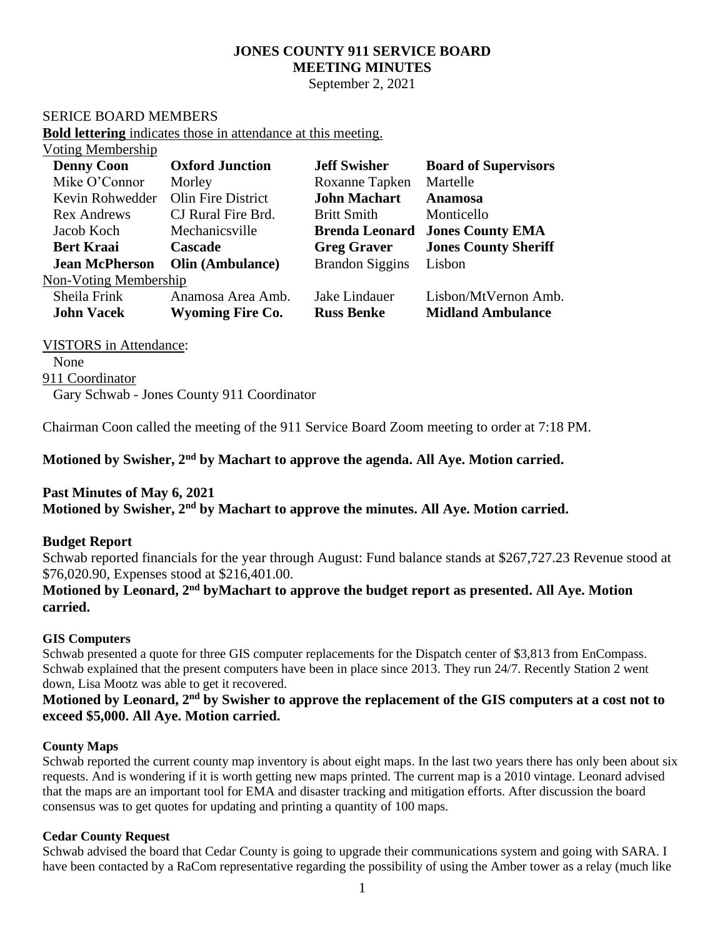# **JONES COUNTY 911 SERVICE BOARD MEETING MINUTES**

September 2, 2021

### SERICE BOARD MEMBERS

**Bold lettering** indicates those in attendance at this meeting.

| <b>Voting Membership</b> |                         |                        |                             |
|--------------------------|-------------------------|------------------------|-----------------------------|
| <b>Denny Coon</b>        | <b>Oxford Junction</b>  | <b>Jeff Swisher</b>    | <b>Board of Supervisors</b> |
| Mike O'Connor            | Morley                  | Roxanne Tapken         | Martelle                    |
| Kevin Rohwedder          | Olin Fire District      | <b>John Machart</b>    | <b>Anamosa</b>              |
| <b>Rex Andrews</b>       | CJ Rural Fire Brd.      | <b>Britt Smith</b>     | Monticello                  |
| Jacob Koch               | Mechanicsville          | <b>Brenda Leonard</b>  | <b>Jones County EMA</b>     |
| <b>Bert Kraai</b>        | <b>Cascade</b>          | <b>Greg Graver</b>     | <b>Jones County Sheriff</b> |
| <b>Jean McPherson</b>    | <b>Olin (Ambulance)</b> | <b>Brandon Siggins</b> | Lisbon                      |
| Non-Voting Membership    |                         |                        |                             |
| Sheila Frink             | Anamosa Area Amb.       | Jake Lindauer          | Lisbon/MtVernon Amb.        |
| <b>John Vacek</b>        | <b>Wyoming Fire Co.</b> | <b>Russ Benke</b>      | <b>Midland Ambulance</b>    |

### VISTORS in Attendance:

None 911 Coordinator Gary Schwab - Jones County 911 Coordinator

Chairman Coon called the meeting of the 911 Service Board Zoom meeting to order at 7:18 PM.

### **Motioned by Swisher, 2 nd by Machart to approve the agenda. All Aye. Motion carried.**

## **Past Minutes of May 6, 2021**

**Motioned by Swisher, 2 nd by Machart to approve the minutes. All Aye. Motion carried.**

### **Budget Report**

Schwab reported financials for the year through August: Fund balance stands at \$267,727.23 Revenue stood at \$76,020.90, Expenses stood at \$216,401.00.

## **Motioned by Leonard, 2nd byMachart to approve the budget report as presented. All Aye. Motion carried.**

### **GIS Computers**

Schwab presented a quote for three GIS computer replacements for the Dispatch center of \$3,813 from EnCompass. Schwab explained that the present computers have been in place since 2013. They run 24/7. Recently Station 2 went down, Lisa Mootz was able to get it recovered.

# **Motioned by Leonard, 2nd by Swisher to approve the replacement of the GIS computers at a cost not to exceed \$5,000. All Aye. Motion carried.**

### **County Maps**

Schwab reported the current county map inventory is about eight maps. In the last two years there has only been about six requests. And is wondering if it is worth getting new maps printed. The current map is a 2010 vintage. Leonard advised that the maps are an important tool for EMA and disaster tracking and mitigation efforts. After discussion the board consensus was to get quotes for updating and printing a quantity of 100 maps.

### **Cedar County Request**

Schwab advised the board that Cedar County is going to upgrade their communications system and going with SARA. I have been contacted by a RaCom representative regarding the possibility of using the Amber tower as a relay (much like